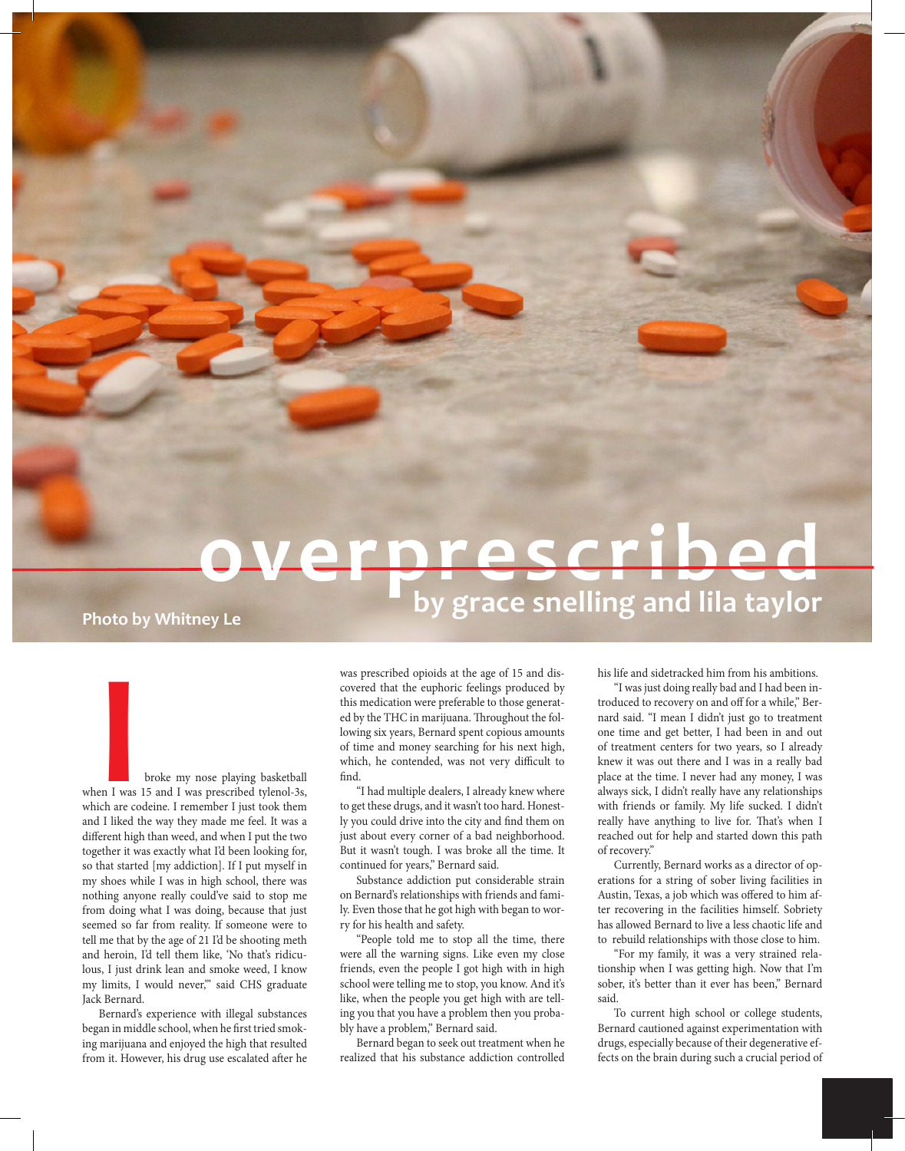# **overprescribed over by grace snelling and lila taylor Photo by Whitney Le**

**I** broke my nose playing basketball<br>
I was 15 and I was prescribed tylenol-3s,<br>
ch are codeine. I remember I just took them when I was 15 and I was prescribed tylenol-3s, which are codeine. I remember I just took them and I liked the way they made me feel. It was a different high than weed, and when I put the two together it was exactly what I'd been looking for, so that started [my addiction]. If I put myself in my shoes while I was in high school, there was nothing anyone really could've said to stop me from doing what I was doing, because that just seemed so far from reality. If someone were to tell me that by the age of 21 I'd be shooting meth and heroin, I'd tell them like, 'No that's ridiculous, I just drink lean and smoke weed, I know my limits, I would never,'" said CHS graduate Jack Bernard.

Bernard's experience with illegal substances began in middle school, when he first tried smoking marijuana and enjoyed the high that resulted from it. However, his drug use escalated after he was prescribed opioids at the age of 15 and discovered that the euphoric feelings produced by this medication were preferable to those generated by the THC in marijuana. Throughout the following six years, Bernard spent copious amounts of time and money searching for his next high, which, he contended, was not very difficult to find.

"I had multiple dealers, I already knew where to get these drugs, and it wasn't too hard. Honestly you could drive into the city and find them on just about every corner of a bad neighborhood. But it wasn't tough. I was broke all the time. It continued for years," Bernard said.

Substance addiction put considerable strain on Bernard's relationships with friends and family. Even those that he got high with began to worry for his health and safety.

"People told me to stop all the time, there were all the warning signs. Like even my close friends, even the people I got high with in high school were telling me to stop, you know. And it's like, when the people you get high with are telling you that you have a problem then you probably have a problem," Bernard said.

Bernard began to seek out treatment when he realized that his substance addiction controlled his life and sidetracked him from his ambitions.

"I was just doing really bad and I had been introduced to recovery on and off for a while," Bernard said. "I mean I didn't just go to treatment one time and get better, I had been in and out of treatment centers for two years, so I already knew it was out there and I was in a really bad place at the time. I never had any money, I was always sick, I didn't really have any relationships with friends or family. My life sucked. I didn't really have anything to live for. That's when I reached out for help and started down this path of recovery."

Currently, Bernard works as a director of operations for a string of sober living facilities in Austin, Texas, a job which was offered to him after recovering in the facilities himself. Sobriety has allowed Bernard to live a less chaotic life and to rebuild relationships with those close to him.

"For my family, it was a very strained relationship when I was getting high. Now that I'm sober, it's better than it ever has been," Bernard said.

To current high school or college students, Bernard cautioned against experimentation with drugs, especially because of their degenerative effects on the brain during such a crucial period of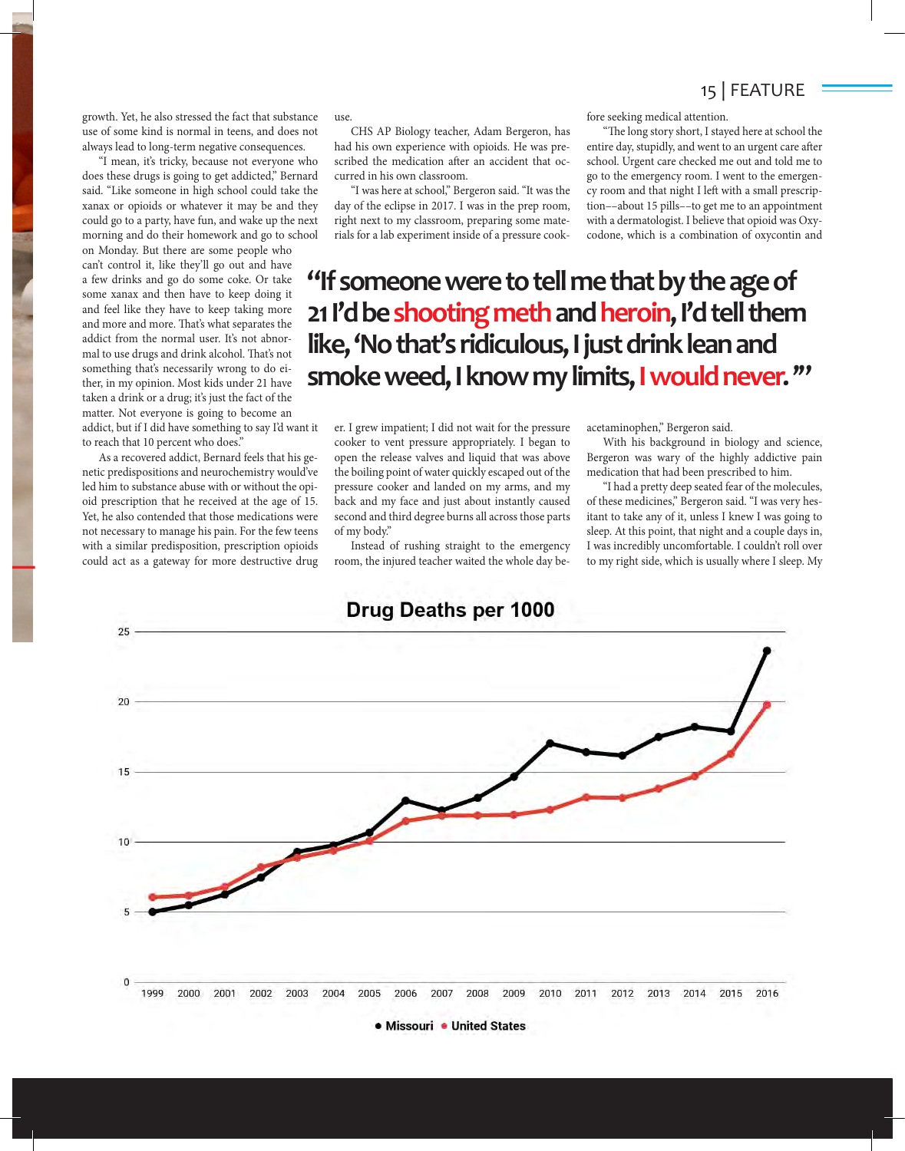### 15 | FEATURE

growth. Yet, he also stressed the fact that substance use of some kind is normal in teens, and does not always lead to long-term negative consequences.

"I mean, it's tricky, because not everyone who does these drugs is going to get addicted," Bernard said. "Like someone in high school could take the xanax or opioids or whatever it may be and they could go to a party, have fun, and wake up the next morning and do their homework and go to school

on Monday. But there are some people who can't control it, like they'll go out and have a few drinks and go do some coke. Or take some xanax and then have to keep doing it and feel like they have to keep taking more and more and more. That's what separates the addict from the normal user. It's not abnormal to use drugs and drink alcohol. That's not something that's necessarily wrong to do either, in my opinion. Most kids under 21 have taken a drink or a drug; it's just the fact of the matter. Not everyone is going to become an addict, but if I did have something to say I'd want it to reach that 10 percent who does."

As a recovered addict, Bernard feels that his genetic predispositions and neurochemistry would've led him to substance abuse with or without the opioid prescription that he received at the age of 15. Yet, he also contended that those medications were not necessary to manage his pain. For the few teens with a similar predisposition, prescription opioids could act as a gateway for more destructive drug use.

CHS AP Biology teacher, Adam Bergeron, has had his own experience with opioids. He was prescribed the medication after an accident that occurred in his own classroom.

"I was here at school," Bergeron said. "It was the day of the eclipse in 2017. I was in the prep room, right next to my classroom, preparing some materials for a lab experiment inside of a pressure cookfore seeking medical attention.

"The long story short, I stayed here at school the entire day, stupidly, and went to an urgent care after school. Urgent care checked me out and told me to go to the emergency room. I went to the emergency room and that night I left with a small prescription––about 15 pills––to get me to an appointment with a dermatologist. I believe that opioid was Oxycodone, which is a combination of oxycontin and

## **"If someone were to tell me that by the age of**  21 I'd be shooting meth and heroin, I'd tell them **like, 'No that's ridiculous, I just drink lean and smoke weed, I know my limits, I would never. '"**

er. I grew impatient; I did not wait for the pressure cooker to vent pressure appropriately. I began to open the release valves and liquid that was above the boiling point of water quickly escaped out of the pressure cooker and landed on my arms, and my back and my face and just about instantly caused second and third degree burns all across those parts of my body."

Instead of rushing straight to the emergency room, the injured teacher waited the whole day beacetaminophen," Bergeron said.

With his background in biology and science, Bergeron was wary of the highly addictive pain medication that had been prescribed to him.

"I had a pretty deep seated fear of the molecules, of these medicines," Bergeron said. "I was very hesitant to take any of it, unless I knew I was going to sleep. At this point, that night and a couple days in, I was incredibly uncomfortable. I couldn't roll over to my right side, which is usually where I sleep. My



• Missouri • United States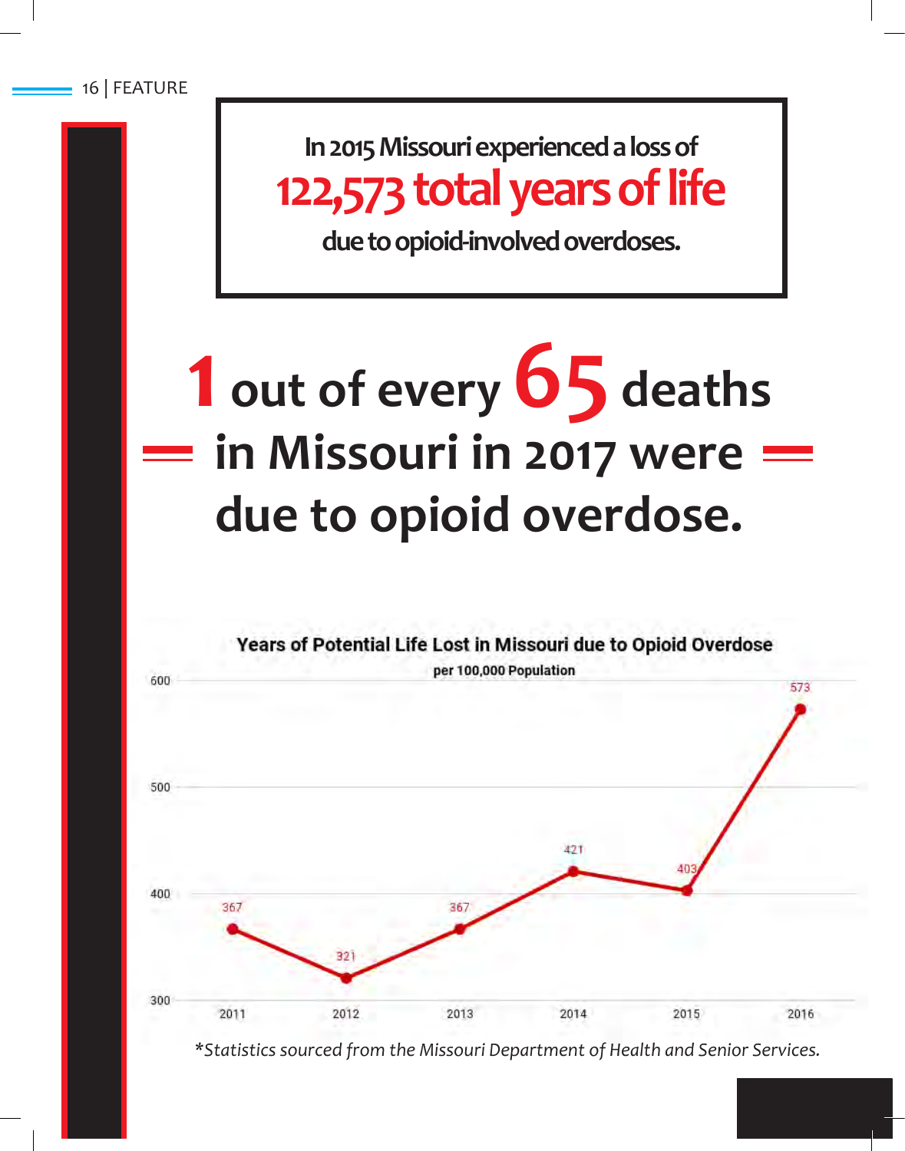**In 2015 Missouri experienced a loss of 122,573 total years of life** 

**due to opioid-involved overdoses.** 

# **1 out of every 65 deaths in Missouri in 2017 were due to opioid overdose.**



*\*Statistics sourced from the Missouri Department of Health and Senior Services.*